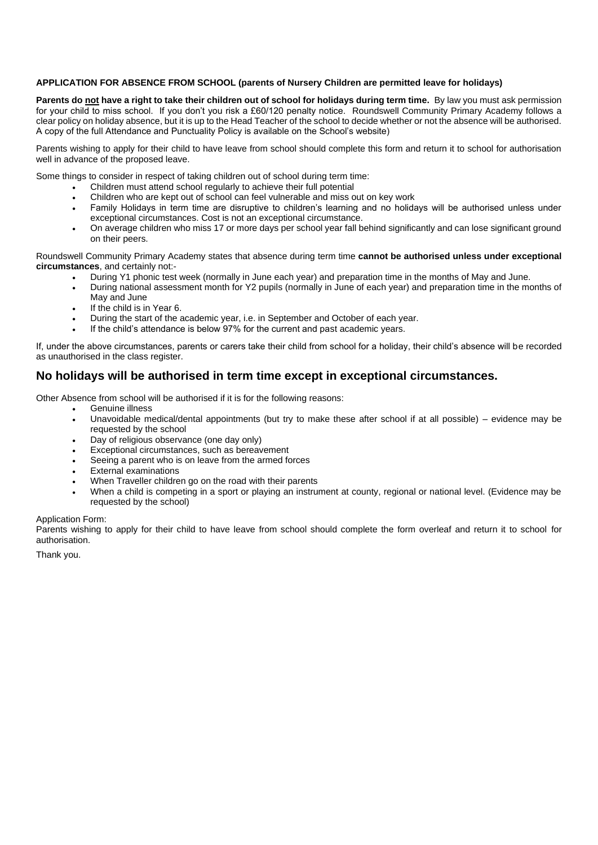## **APPLICATION FOR ABSENCE FROM SCHOOL (parents of Nursery Children are permitted leave for holidays)**

Parents do not have a right to take their children out of school for holidays during term time. By law you must ask permission for your child to miss school. If you don't you risk a £60/120 penalty notice. Roundswell Community Primary Academy follows a clear policy on holiday absence, but it is up to the Head Teacher of the school to decide whether or not the absence will be authorised. A copy of the full Attendance and Punctuality Policy is available on the School's website)

Parents wishing to apply for their child to have leave from school should complete this form and return it to school for authorisation well in advance of the proposed leave.

Some things to consider in respect of taking children out of school during term time:

- Children must attend school regularly to achieve their full potential
- Children who are kept out of school can feel vulnerable and miss out on key work
- Family Holidays in term time are disruptive to children's learning and no holidays will be authorised unless under exceptional circumstances. Cost is not an exceptional circumstance.
- On average children who miss 17 or more days per school year fall behind significantly and can lose significant ground on their peers.

Roundswell Community Primary Academy states that absence during term time **cannot be authorised unless under exceptional circumstances**, and certainly not:-

- During Y1 phonic test week (normally in June each year) and preparation time in the months of May and June.
- During national assessment month for Y2 pupils (normally in June of each year) and preparation time in the months of May and June
- If the child is in Year 6.
- During the start of the academic year, i.e. in September and October of each year.
- If the child's attendance is below 97% for the current and past academic years.

If, under the above circumstances, parents or carers take their child from school for a holiday, their child's absence will be recorded as unauthorised in the class register.

# **No holidays will be authorised in term time except in exceptional circumstances.**

Other Absence from school will be authorised if it is for the following reasons:

- Genuine illness
- Unavoidable medical/dental appointments (but try to make these after school if at all possible) evidence may be requested by the school
- Day of religious observance (one day only)
- Exceptional circumstances, such as bereavement
- Seeing a parent who is on leave from the armed forces
- **External examinations**
- When Traveller children go on the road with their parents
- When a child is competing in a sport or playing an instrument at county, regional or national level. (Evidence may be requested by the school)

### Application Form:

Parents wishing to apply for their child to have leave from school should complete the form overleaf and return it to school for authorisation.

Thank you.